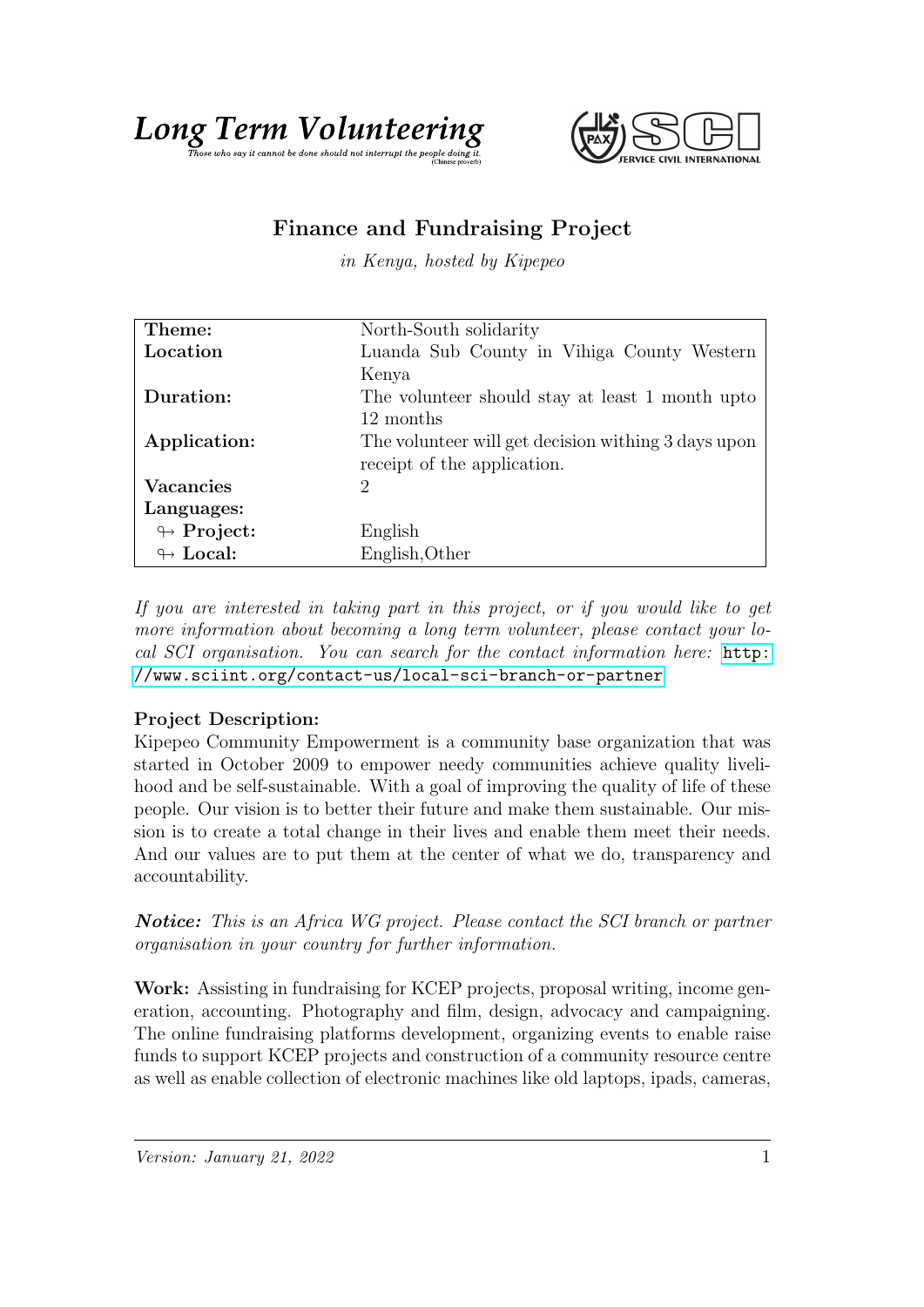



## Finance and Fundraising Project

in Kenya, hosted by Kipepeo

| Theme:                     | North-South solidarity                              |
|----------------------------|-----------------------------------------------------|
| Location                   | Luanda Sub County in Vihiga County Western          |
|                            | Kenya                                               |
| Duration:                  | The volunteer should stay at least 1 month upto     |
|                            | 12 months                                           |
| Application:               | The volunteer will get decision withing 3 days upon |
|                            | receipt of the application.                         |
| <b>Vacancies</b>           | 2                                                   |
| Languages:                 |                                                     |
| $\leftrightarrow$ Project: | English                                             |
| $\leftrightarrow$ Local:   | English, Other                                      |

If you are interested in taking part in this project, or if you would like to get more information about becoming a long term volunteer, please contact your local SCI organisation. You can search for the contact information here: [http:](http://www.sciint.org/contact-us/local-sci-branch-or-partner) [//www.sciint.org/contact-us/local-sci-branch-or-partner](http://www.sciint.org/contact-us/local-sci-branch-or-partner)

## Project Description:

Kipepeo Community Empowerment is a community base organization that was started in October 2009 to empower needy communities achieve quality livelihood and be self-sustainable. With a goal of improving the quality of life of these people. Our vision is to better their future and make them sustainable. Our mission is to create a total change in their lives and enable them meet their needs. And our values are to put them at the center of what we do, transparency and accountability.

Notice: This is an Africa WG project. Please contact the SCI branch or partner organisation in your country for further information.

Work: Assisting in fundraising for KCEP projects, proposal writing, income generation, accounting. Photography and film, design, advocacy and campaigning. The online fundraising platforms development, organizing events to enable raise funds to support KCEP projects and construction of a community resource centre as well as enable collection of electronic machines like old laptops, ipads, cameras,